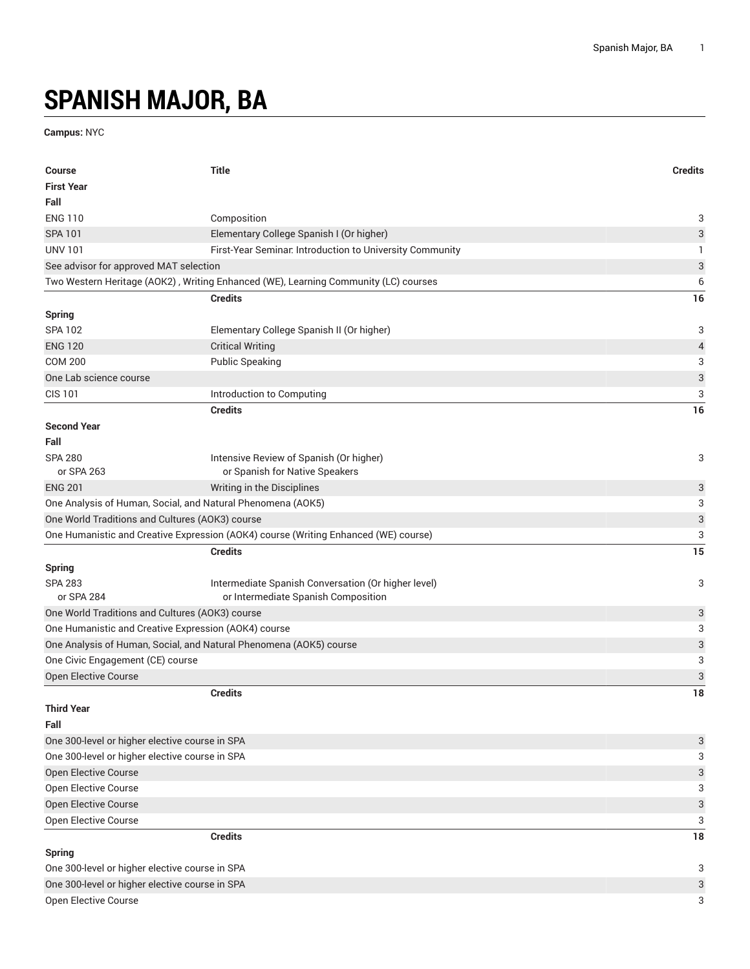## **SPANISH MAJOR, BA**

**Campus:** NYC

| <b>Course</b>                                                      | <b>Title</b>                                                                        | <b>Credits</b>            |
|--------------------------------------------------------------------|-------------------------------------------------------------------------------------|---------------------------|
| <b>First Year</b>                                                  |                                                                                     |                           |
| Fall                                                               |                                                                                     |                           |
| <b>ENG 110</b>                                                     | Composition                                                                         | 3                         |
| <b>SPA 101</b>                                                     | Elementary College Spanish I (Or higher)                                            | 3                         |
| <b>UNV 101</b>                                                     | First-Year Seminar. Introduction to University Community                            | 1                         |
| See advisor for approved MAT selection                             |                                                                                     | $\ensuremath{\mathsf{3}}$ |
|                                                                    | Two Western Heritage (AOK2), Writing Enhanced (WE), Learning Community (LC) courses | 6                         |
|                                                                    | <b>Credits</b>                                                                      | 16                        |
| <b>Spring</b>                                                      |                                                                                     |                           |
| <b>SPA 102</b>                                                     | Elementary College Spanish II (Or higher)                                           | 3                         |
| <b>ENG 120</b>                                                     | <b>Critical Writing</b>                                                             | $\overline{a}$            |
| <b>COM 200</b>                                                     | <b>Public Speaking</b>                                                              | 3                         |
| One Lab science course                                             |                                                                                     | $\ensuremath{\mathsf{3}}$ |
| <b>CIS 101</b>                                                     | Introduction to Computing                                                           | 3                         |
|                                                                    | <b>Credits</b>                                                                      | 16                        |
| <b>Second Year</b>                                                 |                                                                                     |                           |
| Fall                                                               |                                                                                     |                           |
| <b>SPA 280</b>                                                     | Intensive Review of Spanish (Or higher)                                             | 3                         |
| or SPA 263                                                         | or Spanish for Native Speakers                                                      |                           |
| <b>ENG 201</b>                                                     | Writing in the Disciplines                                                          | 3                         |
| One Analysis of Human, Social, and Natural Phenomena (AOK5)        |                                                                                     | 3                         |
| One World Traditions and Cultures (AOK3) course                    |                                                                                     | $\ensuremath{\mathsf{3}}$ |
|                                                                    | One Humanistic and Creative Expression (AOK4) course (Writing Enhanced (WE) course) | 3                         |
|                                                                    | <b>Credits</b>                                                                      | 15                        |
| <b>Spring</b>                                                      |                                                                                     |                           |
| <b>SPA 283</b>                                                     | Intermediate Spanish Conversation (Or higher level)                                 | 3                         |
| or SPA 284                                                         | or Intermediate Spanish Composition                                                 |                           |
| One World Traditions and Cultures (AOK3) course                    |                                                                                     | 3                         |
| One Humanistic and Creative Expression (AOK4) course               |                                                                                     | 3                         |
| One Analysis of Human, Social, and Natural Phenomena (AOK5) course |                                                                                     | $\ensuremath{\mathsf{3}}$ |
| One Civic Engagement (CE) course                                   |                                                                                     | 3                         |
| <b>Open Elective Course</b>                                        |                                                                                     | $\ensuremath{\mathsf{3}}$ |
|                                                                    | <b>Credits</b>                                                                      | 18                        |
| <b>Third Year</b>                                                  |                                                                                     |                           |
| Fall                                                               |                                                                                     |                           |
| One 300-level or higher elective course in SPA                     |                                                                                     | 3                         |
| One 300-level or higher elective course in SPA                     |                                                                                     | 3                         |
| Open Elective Course                                               |                                                                                     | 3                         |
| Open Elective Course                                               |                                                                                     | 3                         |
| Open Elective Course                                               |                                                                                     | $\sqrt{3}$                |
| Open Elective Course                                               |                                                                                     | 3                         |
|                                                                    | <b>Credits</b>                                                                      | 18                        |
| <b>Spring</b>                                                      |                                                                                     |                           |
| One 300-level or higher elective course in SPA                     |                                                                                     | 3                         |
| One 300-level or higher elective course in SPA                     |                                                                                     | 3                         |
| Open Elective Course                                               |                                                                                     | 3                         |